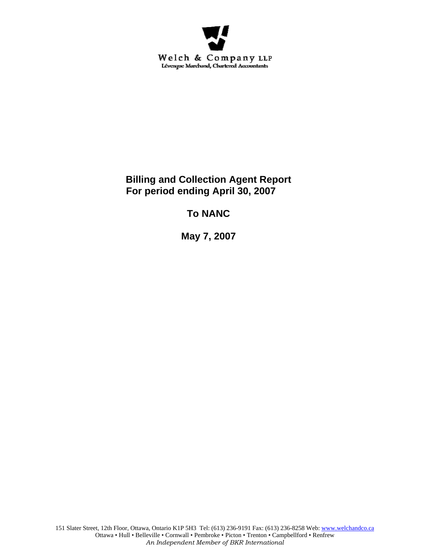

**Billing and Collection Agent Report For period ending April 30, 2007** 

**To NANC** 

 **May 7, 2007**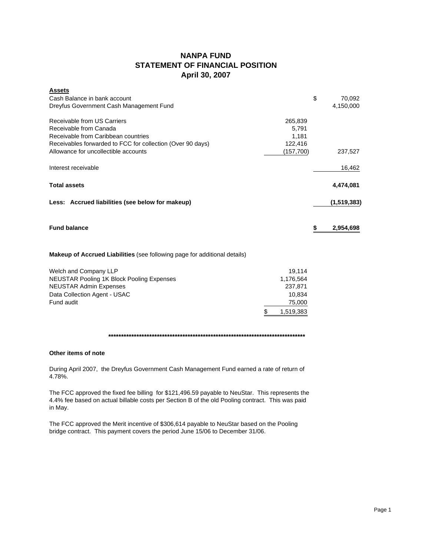# **NANPA FUND STATEMENT OF FINANCIAL POSITION April 30, 2007**

| <b>Assets</b>                                                         |              |
|-----------------------------------------------------------------------|--------------|
| Cash Balance in bank account                                          | \$<br>70,092 |
| Dreyfus Government Cash Management Fund                               | 4,150,000    |
| Receivable from US Carriers<br>265,839                                |              |
| Receivable from Canada<br>5,791                                       |              |
| Receivable from Caribbean countries<br>1,181                          |              |
| Receivables forwarded to FCC for collection (Over 90 days)<br>122,416 |              |
| Allowance for uncollectible accounts<br>(157,700)                     | 237,527      |
| Interest receivable                                                   | 16,462       |
| <b>Total assets</b>                                                   | 4,474,081    |
| Less: Accrued liabilities (see below for makeup)                      | (1,519,383)  |
| <b>Fund balance</b>                                                   | 2,954,698    |
|                                                                       |              |

### **Makeup of Accrued Liabilities** (see following page for additional details)

| Welch and Company LLP                     | 19.114    |
|-------------------------------------------|-----------|
| NEUSTAR Pooling 1K Block Pooling Expenses | 1,176,564 |
| <b>NEUSTAR Admin Expenses</b>             | 237.871   |
| Data Collection Agent - USAC              | 10.834    |
| Fund audit                                | 75,000    |
|                                           | 1,519,383 |

## **\*\*\*\*\*\*\*\*\*\*\*\*\*\*\*\*\*\*\*\*\*\*\*\*\*\*\*\*\*\*\*\*\*\*\*\*\*\*\*\*\*\*\*\*\*\*\*\*\*\*\*\*\*\*\*\*\*\*\*\*\*\*\*\*\*\*\*\*\*\*\*\*\*\*\*\*\***

### **Other items of note**

During April 2007, the Dreyfus Government Cash Management Fund earned a rate of return of 4.78%.

The FCC approved the fixed fee billing for \$121,496.59 payable to NeuStar. This represents the 4.4% fee based on actual billable costs per Section B of the old Pooling contract. This was paid in May.

The FCC approved the Merit incentive of \$306,614 payable to NeuStar based on the Pooling bridge contract. This payment covers the period June 15/06 to December 31/06.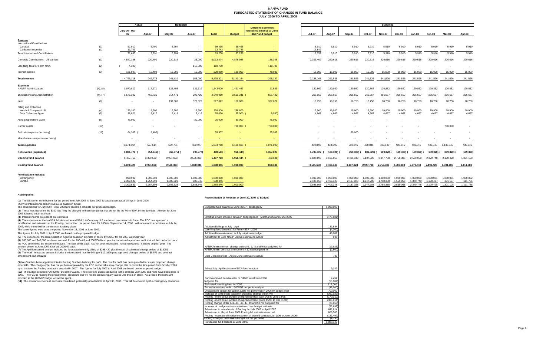#### **NANPA FUND FORECASTED STATEMENT OF CHANGES IN FUND BALANCEJULY 2006 TO APRIL 2008**

|                                                                               |            | Actual                   |                                   | <b>Budgeted</b>          |                      |                                   |                        |                                                                             | <b>Budgeted</b>          |                        |                        |                        |                        |                        |                        |                        |                      |                          |
|-------------------------------------------------------------------------------|------------|--------------------------|-----------------------------------|--------------------------|----------------------|-----------------------------------|------------------------|-----------------------------------------------------------------------------|--------------------------|------------------------|------------------------|------------------------|------------------------|------------------------|------------------------|------------------------|----------------------|--------------------------|
|                                                                               |            | July-06 - Mar<br>07      | Apr-07                            | May-07                   | <b>Jun-07</b>        | <b>Total</b>                      | <b>Budget</b>          | <b>Difference between</b><br>forecasted balance at June<br>30/07 and budget | <b>Jul-07</b>            | Aug-07                 | Sep-07                 | Oct-07                 | <b>Nov-07</b>          | <b>Dec-07</b>          | Jan-08                 | Feb-08                 | Mar-08               | Apr-08                   |
| Revenue<br><b>International Contributions</b>                                 |            |                          |                                   |                          |                      |                                   |                        |                                                                             |                          |                        |                        |                        |                        |                        |                        |                        |                      |                          |
| Canada<br>Caribbean countries                                                 | (1)<br>(1) | 57,910<br>13,743         | 5,791<br>$\overline{\phantom{a}}$ | 5,794<br>$\sim$          | $\sim$<br>$\sim$     | 69,495<br>13,743                  | 69,495<br>13,743       | <b>Section</b>                                                              | 5,910<br>13,849          | 5,910                  | 5,910                  | 5,910                  | 5,910                  | 5,910                  | 5,910                  | 5,910                  | 5,910                | 5,910<br>$\sim$          |
| <b>Total International Contributions</b>                                      |            | 71,653                   | 5,791                             | 5,794                    | $\sim$               | 83,238                            | 83,238                 |                                                                             | 19,759                   | 5,910                  | 5,910                  | 5,910                  | 5,910                  | 5,910                  | 5,910                  | 5,910                  | 5,910                | 5,910                    |
| Domestic Contributions - US carriers                                          | (1)        | 4,547,168                | 220,490                           | 220,616                  | 25,000               | 5,013,274                         | 4,876,926              | 136,348                                                                     | 2,103,409                | 220,616                | 220,616                | 220,616                | 220,616                | 220,616                | 220,616                | 220,616                | 220,616              | 220,616                  |
| Late filing fees for Form 499A                                                | (2)        | 4,300)                   | $\overline{\phantom{a}}$          |                          | 115,000              | 110,700                           |                        | 110,700                                                                     |                          | $\sim$                 |                        |                        |                        |                        |                        | $\sim$                 |                      | $\overline{\phantom{a}}$ |
| Interest income                                                               | (3)        | 181.597                  | 16.492                            | 15,000                   | 15,000               | 228.089                           | 180,000                | 48,089                                                                      | 15,000                   | 15,000                 | 15,000                 | 15,000                 | 15,000                 | 15,000                 | 15,000                 | 15,000                 | 15,000               | 15,000                   |
| <b>Total revenue</b>                                                          |            | 4,796,118                | 242,773                           | 241,410                  | 155,000              | 5,435,301                         | 5,140,164              | 295,137                                                                     | 2,138,168                | 241,526                | 241,526                | 241.526                | 241,526                | 241.526                | 241,526                | 241,526                | 241.526              | 241,526                  |
| <b>Expenses</b><br>NANPA Administration                                       | (4), (8)   | 1,070,812                | 117,971                           | 132,498                  | 121,719              | 1,443,000                         | 1,421,467              | 21,533                                                                      | 120,862                  | 120,862                | 120,862                | 120,862                | 120,862                | 120,862                | 120,862                | 120,862                | 120,862              | 120,862                  |
| 1K Block Pooling Administration                                               | (4), (7)   | 1,576,302                | 462,726                           | 314,471                  | 296,420              | 2,649,919                         | 3,501,341 (            | 851,422)                                                                    | 266,667                  | 266,667                | 266,667                | 266,667                | 266,667                | 266,667                | 266,667                | 266,667                | 266,667              | 266,667                  |
| pANI                                                                          | (9)        | $\overline{\phantom{a}}$ |                                   | 137,500                  | 379,522              | 517,022                           | 150,000                | 367,022                                                                     | 18,750                   | 18,750                 | 18,750                 | 18,750                 | 18,750                 | 18,750                 | 18,750                 | 18,750                 | 18,750               | 18,750                   |
| <b>Billing and Collection</b><br>Welch & Company LLP<br>Data Collection Agent | (4)<br>(5) | 179,100<br>38,821        | 19,900<br>5,417                   | 19,900<br>5,416          | 19,900<br>5,416      | 238,800<br>55,070                 | 238,800<br>65,000 (    | 9,930)                                                                      | 19,900<br>4,667          | 19,900<br>4,667        | 19,900<br>4,667        | 19,900<br>4,667        | 19,900<br>4,667        | 19,900<br>4,667        | 19,900<br>4,667        | 19,900<br>4,667        | 19,900<br>4,667      | 19,900<br>4,667          |
| <b>Annual Operations Audit</b>                                                | (6)        | 45,000                   | $\sim$                            | $\sim$                   | 30,000               | 75,000                            | 30,000                 | 45,000                                                                      | $\overline{\phantom{a}}$ | $\sim$                 |                        |                        |                        |                        |                        |                        |                      | $\sim$                   |
| <b>Carrier Audits</b>                                                         | (10)       | $\sim$                   |                                   | $\overline{\phantom{a}}$ | $\sim$               | $\sim$                            | 700,000 (              | 700,000)                                                                    |                          |                        |                        |                        |                        |                        |                        |                        | 700,000              | $\sim$                   |
| Bad debt expense (recovery)                                                   | (11)       | 64,307                   | 8,400)                            |                          |                      | 55,907                            |                        | 55,907                                                                      |                          |                        | 80,000                 |                        |                        |                        |                        |                        |                      | $\overline{\phantom{a}}$ |
| Miscellaneous expense (recovery)                                              |            | $\sim$                   | $\sim$                            | $\sim$                   | $\sim$               | $\sim$                            |                        | <b>Contract</b>                                                             |                          | $\sim$                 | $\sim$                 | $\sim$                 | $\sim$                 | $\sim$                 | $\sim$                 | $\sim$                 | $\sim$               | $\sim$                   |
| <b>Total expenses</b>                                                         |            | 2,974,342                | 597.614                           | 609,785                  | 852,977              | 5.034.718                         | 6,106,608              | 1,071,890)                                                                  | 430.846                  | 430.846                | 510.846                | 430.846                | 430.846                | 430.846                | 430.846                | 430.846                | 1,130,846            | 430,846                  |
| Net revenue (expenses)                                                        |            | 1,821,776                | 354,841) (                        | 368,375)                 | 697,977)             | 400,583                           | 966,444)               | 1,367,027                                                                   | 1,707,322                | 189,320)               | 269,320)               | 189,320) (             | 189,320) (             | 189,320) (             | 189,320) (             | 189,320) (             | 889,320) (           | 189,320                  |
| <b>Opening fund balance</b>                                                   |            | 1,487,763                | 3.309.539                         | 2,954,698                | 2.586.323            | 1.487.763                         | 1,966,444              | 478,681                                                                     | 1.888.346                | 3.595.668              | 3.406.348              | 3.137.028              | 2.947.708              | 2.758.388              | 2.569.068              | 2.379.748              | 2,190,428            | 1,301,108                |
| <b>Closing fund balance</b>                                                   |            | 3,309,539                | 2,954,698                         | 2,586,323                | 1.888.346            | 1,888,346                         | 1,000,000              | 888,346                                                                     | 3,595,668                | 3,406,348              | 3,137,028              | 2,947,708              | 2,758,388              | 2,569,068              | 2,379,748              | 2,190,428              | 1,301,108            | 1,111,788                |
| Fund balance makeup:<br>Contingency<br>Surplus                                |            | 999,999<br>2,309,540     | 1,000,000<br>1,954,698            | 1,000,000<br>1,586,323   | 1,000,000<br>888,346 | 1,000,000<br>888,346<br>1.888.346 | 1,000,000<br>1.000.000 |                                                                             | 1.000.000<br>2,595,668   | 1,000,000<br>2,406,348 | 1,000,000<br>2,137,028 | 1,000,000<br>1,947,708 | 1,000,000<br>1,758,388 | 1,000,000<br>1,569,068 | 1,000,000<br>1,379,748 | 1,000,001<br>1,190,427 | 1,000,001<br>301,107 | 1,000,002<br>111,786     |
|                                                                               |            | 3,309,539                | 2,954,698                         | 2,586,323                | 1,888,346            |                                   |                        |                                                                             | 3,595,668                | 3,406,348              | 3,137,028              | 2,947,708              | 2,758,388              | 2,569,068              | 2,379,748              | 2,190,428              | 1,301,108            | 1,111,788                |

#### **Assumptions:**

**(1)** The US carrier contributions for the period from July 2006 to June 2007 is based upon actual billings in June 2006.

2007/08 International carrier revenue is based on actual.

#### **Reconciliation of Forecast at June 30, 2007 to Budget**

| The contributions for July 2007 - April 2008 are based on estimate per proposed budget.                                                           | Budgeted fund balance at June 30/07 - contingency                                                                                               | 1.000.000            |
|---------------------------------------------------------------------------------------------------------------------------------------------------|-------------------------------------------------------------------------------------------------------------------------------------------------|----------------------|
| (2) These fees represent the \$100 late filing fee charged to those companies that do not file the Form 499A by the due date. Amount for June     |                                                                                                                                                 |                      |
| 2007 is based on an estimate.                                                                                                                     |                                                                                                                                                 |                      |
| (3) Interest income projections are estimates                                                                                                     | Shortfall in fund incurred between budget period (March 2006) and June 2006                                                                     | (478.681)            |
| (4) The expenses for the NANPA Administration and Welch & Company LLP are based on contracts in force. The FCC has approved a                     |                                                                                                                                                 |                      |
| modification and extension of the Pooling contract for the period June 15, 2006 to September 14, 2006. with one-month extensions to July 14,      |                                                                                                                                                 |                      |
| 2007, while the re-bid for the contract is taking place.                                                                                          | Additional billings in July - April                                                                                                             | 131.894              |
| The same figures were used the period November 15, 2006 to June 2007.                                                                             | Late filing fees (reversal) for Form 499A - 2006                                                                                                | (4,300)              |
| The figures for July 2007 to April 2008 are based on the proposed budget.                                                                         | Additional interest earned in July - April over budget                                                                                          | 48,089               |
| (5) The expense for the Data Collection Agent is based on estimate of costs by USAC for the 2007 calendar year.                                   | Adjustment to June NANP Admin estimate to actual                                                                                                | 890                  |
| (6) \$30,000 and \$45,000 has been accrued for the 2004/05 and 2005/06 fiscal year for the annual operations audit that will be conducted once    |                                                                                                                                                 |                      |
| the FCC determines the scope of the audit. The cost of this audit has not been negotiated. Amount recorded is based on prior year. The            |                                                                                                                                                 |                      |
| amount shown in June 2007 is for the 2006/07 audit.                                                                                               | NANP Admin contract change orders#6, 7, 8 and 9 not budgeted for                                                                                | (19.923)             |
| (7) The April forecasted amount includes the forecasted monthly billing of \$296,420 plus the cost of submitted change orders of \$18051          | NANP Admin contract amendment #12 not budgeted for                                                                                              | (2,500)              |
| (8) The April forecasted amount includes the forecasted monthly billing of \$121,696 plus approved changes orders of \$9,571 and contract         |                                                                                                                                                 |                      |
| amendment #12 of \$1231                                                                                                                           | Data Collection fees - Adiust June estimate to actual                                                                                           | 783                  |
|                                                                                                                                                   |                                                                                                                                                 |                      |
| (9) NeuStar has been appointed Interim Routing Number Authority for pANI. The cost for pANI has been provided for as per proposed change          |                                                                                                                                                 |                      |
| order #48. The change order has not yet been approved by the FCC so the value may change. It is to cover the time period from October 2006        |                                                                                                                                                 |                      |
| up to the time the Pooling contract is awarded in 2007. The figures for July 2007 to April 2008 are based on the proposed budget.                 | Adjust July -April estimate of DCA fees to actual                                                                                               | 9.147                |
| (10) The budget allowed \$700,000 for 16 carrier audits. There were no audits conducted in the calendar year 2006 and none have been done in      |                                                                                                                                                 |                      |
| 2007. The FCC is revising the procurement procedure and will not be conducting any audits until this is in place. As a result, the \$700,000      |                                                                                                                                                 |                      |
| provided in the 2006/07 budget will not be spent.                                                                                                 | Funds received from Neustar re NANC travel from 2000                                                                                            | 4.454                |
| (11) The allowance covers all accounts considered potentially uncollectible at April 30, 2007. This will be covered by the contingency allowance. | budgeted for                                                                                                                                    | (55.907)             |
|                                                                                                                                                   | Estimated late filing fees for 2007                                                                                                             | 115,000              |
|                                                                                                                                                   | Annual operations audit - 2005/06 not performed vet                                                                                             | (45,000)             |
|                                                                                                                                                   | Unexpended budget for carrier audits not performed in 2006/07 budget year                                                                       | 700,000              |
|                                                                                                                                                   | Increase of pANI costs based on proposed change order #48                                                                                       | (367, 022)           |
|                                                                                                                                                   | Pooling - merit bonus portion of expired contract (Jan 1/06 to June 14/06)                                                                      | (170, 310)           |
|                                                                                                                                                   | Pooling - merit bonus portion of expired contract (June 15/06 to Dec 31/06)                                                                     | (306, 614)           |
|                                                                                                                                                   | Pooling change Order #41, 43, 46, 47, 49 and 50 not budgeted for                                                                                | (20,066)             |
|                                                                                                                                                   | Increase of bridge contracts maximum over budget estimate                                                                                       | (55, 692)            |
|                                                                                                                                                   | Adjustment to actual costs of Pooling for July 2006 to April 2007                                                                               | 641.814              |
|                                                                                                                                                   | Adjustment to May & June 2006 Pooling bill estimates to actual                                                                                  | 888,580              |
|                                                                                                                                                   | Pooling - estimate of fixed price portion of expired contract (Jan 1/06 to June 14/06)<br>Pooling Change Order #44 in budget but not yet billed | (121.497)<br>(4,793) |
|                                                                                                                                                   | Forecasted fund balance at June 30/07                                                                                                           |                      |
|                                                                                                                                                   |                                                                                                                                                 | 1.888.346            |